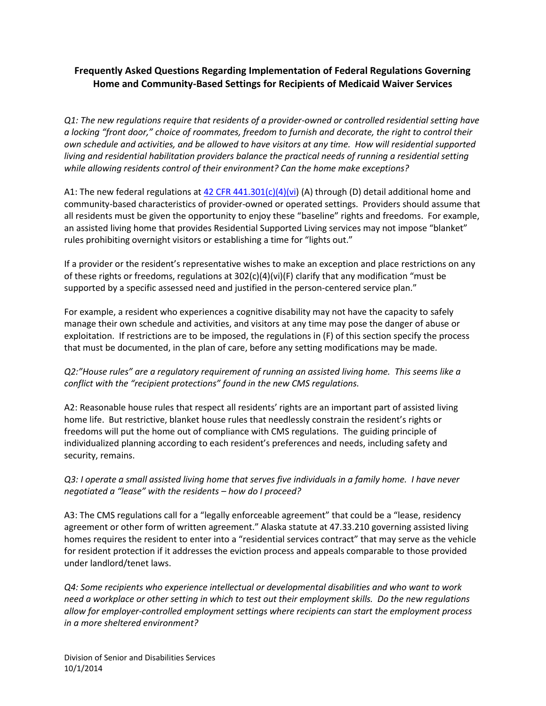## **Frequently Asked Questions Regarding Implementation of Federal Regulations Governing Home and Community-Based Settings for Recipients of Medicaid Waiver Services**

*Q1: The new regulations require that residents of a provider-owned or controlled residential setting have a locking "front door," choice of roommates, freedom to furnish and decorate, the right to control their own schedule and activities, and be allowed to have visitors at any time. How will residential supported living and residential habilitation providers balance the practical needs of running a residential setting while allowing residents control of their environment? Can the home make exceptions?*

A1: The new federal regulations at [42 CFR 441.301\(c\)\(4\)\(vi\)](http://www.gpo.gov/fdsys/pkg/FR-2014-01-16/pdf/2014-00487.pdf) (A) through (D) detail additional home and community-based characteristics of provider-owned or operated settings. Providers should assume that all residents must be given the opportunity to enjoy these "baseline" rights and freedoms. For example, an assisted living home that provides Residential Supported Living services may not impose "blanket" rules prohibiting overnight visitors or establishing a time for "lights out."

If a provider or the resident's representative wishes to make an exception and place restrictions on any of these rights or freedoms, regulations at 302(c)(4)(vi)(F) clarify that any modification "must be supported by a specific assessed need and justified in the person-centered service plan."

For example, a resident who experiences a cognitive disability may not have the capacity to safely manage their own schedule and activities, and visitors at any time may pose the danger of abuse or exploitation. If restrictions are to be imposed, the regulations in (F) of this section specify the process that must be documented, in the plan of care, before any setting modifications may be made.

## *Q2:"House rules" are a regulatory requirement of running an assisted living home. This seems like a conflict with the "recipient protections" found in the new CMS regulations.*

A2: Reasonable house rules that respect all residents' rights are an important part of assisted living home life. But restrictive, blanket house rules that needlessly constrain the resident's rights or freedoms will put the home out of compliance with CMS regulations. The guiding principle of individualized planning according to each resident's preferences and needs, including safety and security, remains.

## *Q3: I operate a small assisted living home that serves five individuals in a family home. I have never negotiated a "lease" with the residents – how do I proceed?*

A3: The CMS regulations call for a "legally enforceable agreement" that could be a "lease, residency agreement or other form of written agreement." Alaska statute at 47.33.210 governing assisted living homes requires the resident to enter into a "residential services contract" that may serve as the vehicle for resident protection if it addresses the eviction process and appeals comparable to those provided under landlord/tenet laws.

*Q4: Some recipients who experience intellectual or developmental disabilities and who want to work need a workplace or other setting in which to test out their employment skills. Do the new regulations allow for employer-controlled employment settings where recipients can start the employment process in a more sheltered environment?*